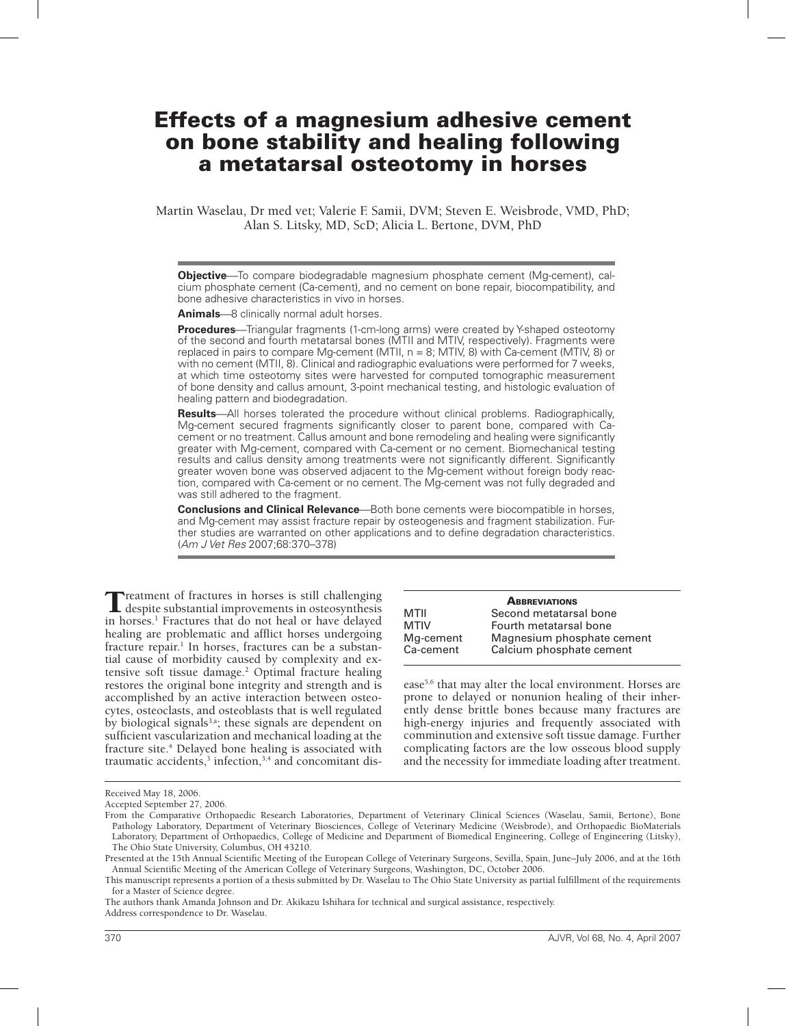# Effects of a magnesium adhesive cement on bone stability and healing following a metatarsal osteotomy in horses

Martin Waselau, Dr med vet; Valerie F. Samii, DVM; Steven E. Weisbrode, VMD, PhD; Alan S. Litsky, MD, ScD; Alicia L. Bertone, DVM, PhD

**Objective**—To compare biodegradable magnesium phosphate cement (Mg-cement), calcium phosphate cement (Ca-cement), and no cement on bone repair, biocompatibility, and bone adhesive characteristics in vivo in horses.

**Animals**—8 clinically normal adult horses.

**Procedures**—Triangular fragments (1-cm-long arms) were created by Y-shaped osteotomy of the second and fourth metatarsal bones (MTII and MTIV, respectively). Fragments were replaced in pairs to compare Mg-cement (MTII, n = 8; MTIV, 8) with Ca-cement (MTIV, 8) or with no cement (MTII, 8). Clinical and radiographic evaluations were performed for 7 weeks, at which time osteotomy sites were harvested for computed tomographic measurement of bone density and callus amount, 3-point mechanical testing, and histologic evaluation of healing pattern and biodegradation.

**Results**—All horses tolerated the procedure without clinical problems. Radiographically, Mg-cement secured fragments significantly closer to parent bone, compared with Cacement or no treatment. Callus amount and bone remodeling and healing were significantly greater with Mg-cement, compared with Ca-cement or no cement. Biomechanical testing results and callus density among treatments were not significantly different. Significantly greater woven bone was observed adjacent to the Mg-cement without foreign body reaction, compared with Ca-cement or no cement. The Mg-cement was not fully degraded and was still adhered to the fragment.

**Conclusions and Clinical Relevance** Both bone cements were biocompatible in horses, and Mg-cement may assist fracture repair by osteogenesis and fragment stabilization. Further studies are warranted on other applications and to define degradation characteristics. (*Am J Vet Res* 2007;68:370–378)

Treatment of fractures in horses is still challenging<br>despite substantial improvements in osteosynthesis in horses.<sup>1</sup> Fractures that do not heal or have delayed healing are problematic and afflict horses undergoing fracture repair.<sup>1</sup> In horses, fractures can be a substantial cause of morbidity caused by complexity and extensive soft tissue damage.2 Optimal fracture healing restores the original bone integrity and strength and is accomplished by an active interaction between osteocytes, osteoclasts, and osteoblasts that is well regulated by biological signals<sup>3,a</sup>; these signals are dependent on sufficient vascularization and mechanical loading at the fracture site.<sup>4</sup> Delayed bone healing is associated with traumatic accidents,<sup>3</sup> infection,<sup>3,4</sup> and concomitant dis-

| <b>ABBREVIATIONS</b> |                            |  |  |  |
|----------------------|----------------------------|--|--|--|
| MTII                 | Second metatarsal bone     |  |  |  |
| <b>MTIV</b>          | Fourth metatarsal bone     |  |  |  |
| Mg-cement            | Magnesium phosphate cement |  |  |  |
| Ca-cement            | Calcium phosphate cement   |  |  |  |

ease5,6 that may alter the local environment. Horses are prone to delayed or nonunion healing of their inherently dense brittle bones because many fractures are high-energy injuries and frequently associated with comminution and extensive soft tissue damage. Further complicating factors are the low osseous blood supply and the necessity for immediate loading after treatment.

The authors thank Amanda Johnson and Dr. Akikazu Ishihara for technical and surgical assistance, respectively. Address correspondence to Dr. Waselau.

Received May 18, 2006.

Accepted September 27, 2006.

From the Comparative Orthopaedic Research Laboratories, Department of Veterinary Clinical Sciences (Waselau, Samii, Bertone), Bone Pathology Laboratory, Department of Veterinary Biosciences, College of Veterinary Medicine (Weisbrode), and Orthopaedic BioMaterials Laboratory, Department of Orthopaedics, College of Medicine and Department of Biomedical Engineering, College of Engineering (Litsky), The Ohio State University, Columbus, OH 43210.

Presented at the 15th Annual Scientific Meeting of the European College of Veterinary Surgeons, Sevilla, Spain, June–July 2006, and at the 16th Annual Scientific Meeting of the American College of Veterinary Surgeons, Washington, DC, October 2006.

This manuscript represents a portion of a thesis submitted by Dr. Waselau to The Ohio State University as partial fulfillment of the requirements for a Master of Science degree.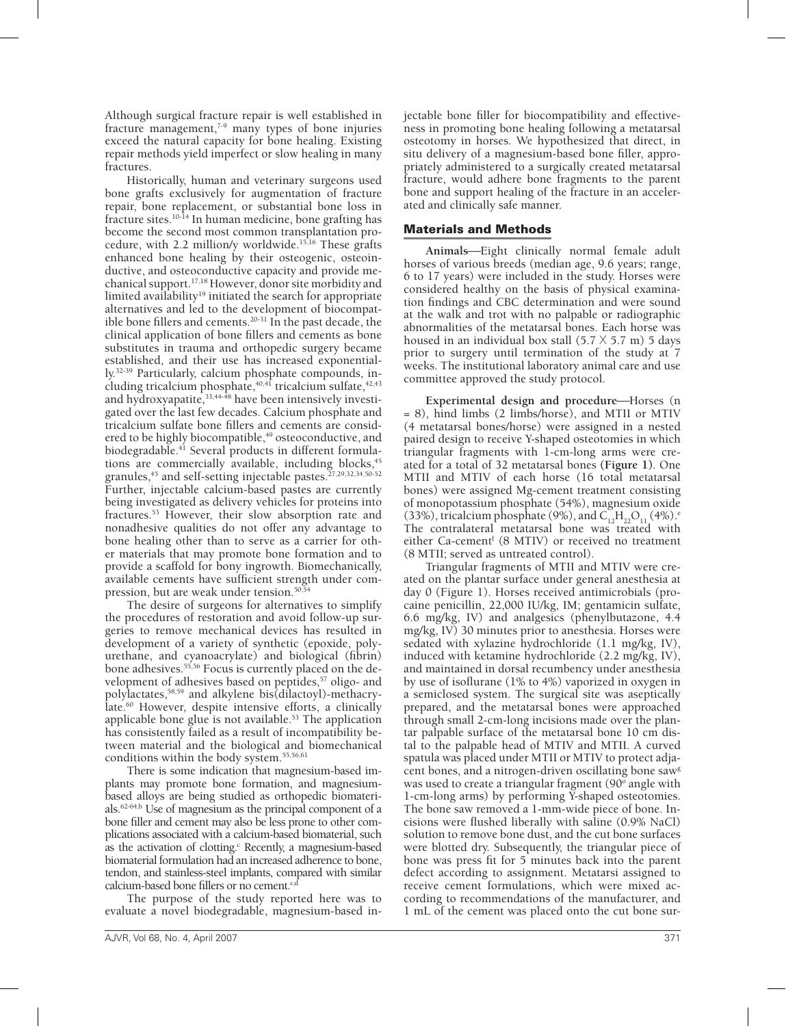Although surgical fracture repair is well established in fracture management, $7-9$  many types of bone injuries exceed the natural capacity for bone healing. Existing repair methods yield imperfect or slow healing in many fractures.

Historically, human and veterinary surgeons used bone grafts exclusively for augmentation of fracture repair, bone replacement, or substantial bone loss in fracture sites.10-14 In human medicine, bone grafting has become the second most common transplantation procedure, with 2.2 million/y worldwide.<sup>15,16</sup> These grafts enhanced bone healing by their osteogenic, osteoinductive, and osteoconductive capacity and provide mechanical support.<sup>17,18</sup> However, donor site morbidity and limited availability<sup>19</sup> initiated the search for appropriate alternatives and led to the development of biocompatible bone fillers and cements.20-31 In the past decade, the clinical application of bone fillers and cements as bone substitutes in trauma and orthopedic surgery became established, and their use has increased exponentially.<sup>32-39</sup> Particularly, calcium phosphate compounds, including tricalcium phosphate,<sup>40,41</sup> tricalcium sulfate,<sup>42,43</sup> and hydroxyapatite, $^{\rm 33,44-48}$  have been intensively investigated over the last few decades. Calcium phosphate and tricalcium sulfate bone fillers and cements are considered to be highly biocompatible,<sup>49</sup> osteoconductive, and biodegradable.<sup>41</sup> Several products in different formulations are commercially available, including blocks, $45$ granules,<sup>45</sup> and self-setting injectable pastes.<sup>27,29,32,34,50-52</sup> Further, injectable calcium-based pastes are currently being investigated as delivery vehicles for proteins into fractures.53 However, their slow absorption rate and nonadhesive qualities do not offer any advantage to bone healing other than to serve as a carrier for other materials that may promote bone formation and to provide a scaffold for bony ingrowth. Biomechanically, available cements have sufficient strength under compression, but are weak under tension.<sup>50,54</sup>

The desire of surgeons for alternatives to simplify the procedures of restoration and avoid follow-up surgeries to remove mechanical devices has resulted in development of a variety of synthetic (epoxide, polyurethane, and cyanoacrylate) and biological (fibrin) bone adhesives.<sup>55,56</sup> Focus is currently placed on the development of adhesives based on peptides,<sup>57</sup> oligo- and polylactates,58,59 and alkylene bis(dilactoyl)-methacrylate.60 However, despite intensive efforts, a clinically applicable bone glue is not available.<sup>53</sup> The application has consistently failed as a result of incompatibility between material and the biological and biomechanical conditions within the body system.<sup>55,56,61</sup>

There is some indication that magnesium-based implants may promote bone formation, and magnesiumbased alloys are being studied as orthopedic biomaterials.62-64,b Use of magnesium as the principal component of a bone filler and cement may also be less prone to other complications associated with a calcium-based biomaterial, such as the activation of clotting.<sup>c</sup> Recently, a magnesium-based biomaterial formulation had an increased adherence to bone, tendon, and stainless-steel implants, compared with similar calcium-based bone fillers or no cement.<sup>c,d</sup>

The purpose of the study reported here was to evaluate a novel biodegradable, magnesium-based injectable bone filler for biocompatibility and effectiveness in promoting bone healing following a metatarsal osteotomy in horses. We hypothesized that direct, in situ delivery of a magnesium-based bone filler, appropriately administered to a surgically created metatarsal fracture, would adhere bone fragments to the parent bone and support healing of the fracture in an accelerated and clinically safe manner.

## Materials and Methods

Animals-Eight clinically normal female adult horses of various breeds (median age, 9.6 years; range, 6 to 17 years) were included in the study. Horses were considered healthy on the basis of physical examination findings and CBC determination and were sound at the walk and trot with no palpable or radiographic abnormalities of the metatarsal bones. Each horse was housed in an individual box stall  $(5.7 \times 5.7 \text{ m})$  5 days prior to surgery until termination of the study at 7 weeks. The institutional laboratory animal care and use committee approved the study protocol.

**Experimental design and procedure—Horses (n)** = 8), hind limbs (2 limbs/horse), and MTII or MTIV (4 metatarsal bones/horse) were assigned in a nested paired design to receive Y-shaped osteotomies in which triangular fragments with 1-cm-long arms were created for a total of 32 metatarsal bones **(Figure 1)**. One MTII and MTIV of each horse (16 total metatarsal bones) were assigned Mg-cement treatment consisting of monopotassium phosphate (54%), magnesium oxide (33%), tricalcium phosphate (9%), and  $C_{12}H_{22}O_{11}$  (4%).<sup>e</sup> The contralateral metatarsal bone was treated with either Ca-cement<sup>f</sup> (8 MTIV) or received no treatment (8 MTII; served as untreated control).

Triangular fragments of MTII and MTIV were created on the plantar surface under general anesthesia at day 0 (Figure 1). Horses received antimicrobials (procaine penicillin, 22,000 IU/kg, IM; gentamicin sulfate, 6.6 mg/kg, IV) and analgesics (phenylbutazone, 4.4 mg/kg, IV) 30 minutes prior to anesthesia. Horses were sedated with xylazine hydrochloride (1.1 mg/kg, IV), induced with ketamine hydrochloride (2.2 mg/kg, IV), and maintained in dorsal recumbency under anesthesia by use of isoflurane (1% to 4%) vaporized in oxygen in a semiclosed system. The surgical site was aseptically prepared, and the metatarsal bones were approached through small 2-cm-long incisions made over the plantar palpable surface of the metatarsal bone 10 cm distal to the palpable head of MTIV and MTII. A curved spatula was placed under MTII or MTIV to protect adjacent bones, and a nitrogen-driven oscillating bone saw<sup>g</sup> was used to create a triangular fragment (90° angle with 1-cm-long arms) by performing Y-shaped osteotomies. The bone saw removed a 1-mm-wide piece of bone. Incisions were flushed liberally with saline (0.9% NaCl) solution to remove bone dust, and the cut bone surfaces were blotted dry. Subsequently, the triangular piece of bone was press fit for 5 minutes back into the parent defect according to assignment. Metatarsi assigned to receive cement formulations, which were mixed according to recommendations of the manufacturer, and 1 mL of the cement was placed onto the cut bone sur-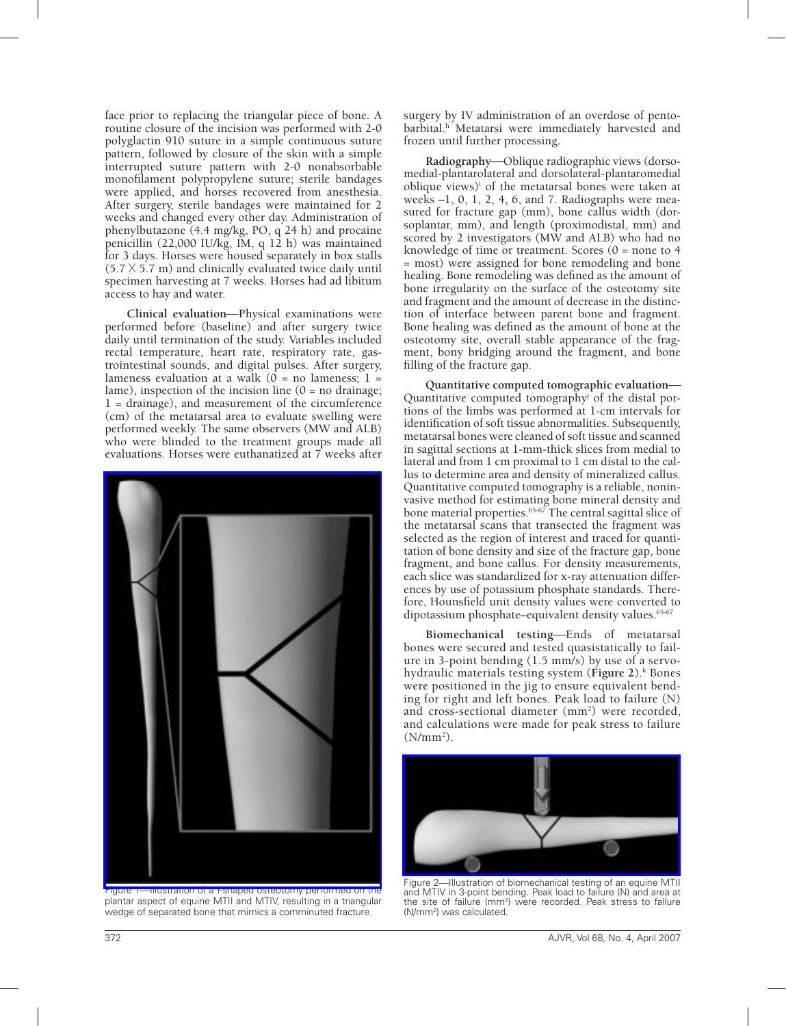face prior to replacing the triangular piece of bone. A routine closure of the incision was performed with 2-0 polyglactin 910 suture in a simple continuous suture pattern, followed by closure of the skin with a simple interrupted suture pattern with 2-0 nonabsorbable monofilament polypropylene suture; sterile bandages were applied, and horses recovered from anesthesia. After surgery, sterile bandages were maintained for 2 weeks and changed every other day. Administration of phenylbutazone (4.4 mg/kg, PO, q 24 h) and procaine penicillin (22,000 IU/kg, IM, q 12 h) was maintained for 3 days. Horses were housed separately in box stalls  $(5.7 \times 5.7 \text{ m})$  and clinically evaluated twice daily until specimen harvesting at 7 weeks. Horses had ad libitum access to hay and water.

**Clinical evaluation---Physical examinations were** performed before (baseline) and after surgery twice daily until termination of the study. Variables included rectal temperature, heart rate, respiratory rate, gastrointestinal sounds, and digital pulses. After surgery, lameness evaluation at a walk ( $\hat{0}$  = no lameness; 1 = lame), inspection of the incision line  $(0 = no \, \text{drainage})$ ; 1 = drainage), and measurement of the circumference (cm) of the metatarsal area to evaluate swelling were performed weekly. The same observers (MW and ALB) who were blinded to the treatment groups made all evaluations. Horses were euthanatized at  $7$  weeks after



Figure 1-illustration of a Y-shaped [osteotomy](http://avmajournals.avma.org/action/showImage?doi=10.2460/ajvr.68.4.370&iName=master.img-000.jpg&w=227&h=342) performed on the plantar aspect of equine MTII and MTIV, resulting in a triangular wedge of separated bone that mimics a comminuted fracture.

surgery by IV administration of an overdose of pentobarbital.<sup>h</sup> Metatarsi were immediately harvested and frozen until further processing.

**Radiography**—Oblique radiographic views (dorsomedial-plantarolateral and dorsolateral-plantaromedial oblique views)i of the metatarsal bones were taken at weeks –1, 0, 1, 2, 4, 6, and 7. Radiographs were measured for fracture gap (mm), bone callus width (dorsoplantar, mm), and length (proximodistal, mm) and scored by 2 investigators (MW and ALB) who had no knowledge of time or treatment. Scores  $(0 =$  none to 4 = most) were assigned for bone remodeling and bone healing. Bone remodeling was defined as the amount of bone irregularity on the surface of the osteotomy site and fragment and the amount of decrease in the distinction of interface between parent bone and fragment. Bone healing was defined as the amount of bone at the osteotomy site, overall stable appearance of the fragment, bony bridging around the fragment, and bone filling of the fracture gap.

**Quantitative computed tomographic evaluation** Quantitative computed tomographyj of the distal portions of the limbs was performed at 1-cm intervals for identification of soft tissue abnormalities. Subsequently, metatarsal bones were cleaned of soft tissue and scanned in sagittal sections at 1-mm-thick slices from medial to lateral and from 1 cm proximal to 1 cm distal to the callus to determine area and density of mineralized callus. Quantitative computed tomography is a reliable, noninvasive method for estimating bone mineral density and bone material properties.<sup>65-67</sup> The central sagittal slice of the metatarsal scans that transected the fragment was selected as the region of interest and traced for quantitation of bone density and size of the fracture gap, bone fragment, and bone callus. For density measurements, each slice was standardized for x-ray attenuation differences by use of potassium phosphate standards. Therefore, Hounsfield unit density values were converted to dipotassium phosphate-equivalent density values.<sup>65-67</sup>

**Biomechanical testing—Ends of metatarsal** bones were secured and tested quasistatically to failure in 3-point bending (1.5 mm/s) by use of a servohydraulic materials testing system (**Figure 2**). k Bones were positioned in the jig to ensure equivalent bending for right and left bones. Peak load to failure (N) and cross-sectional diameter (mm<sup>2</sup>) were recorded, and calculations were made for peak stress to failure  $(N/mm<sup>2</sup>)$ .



Figure 2-Illustration of biomechanical testing of an equine MTII and MTIV in 3-point bending. Peak load to failure (N) and area at the site of failure (mm2 ) were recorded. Peak stress to failure (N/mm2 ) was calculated.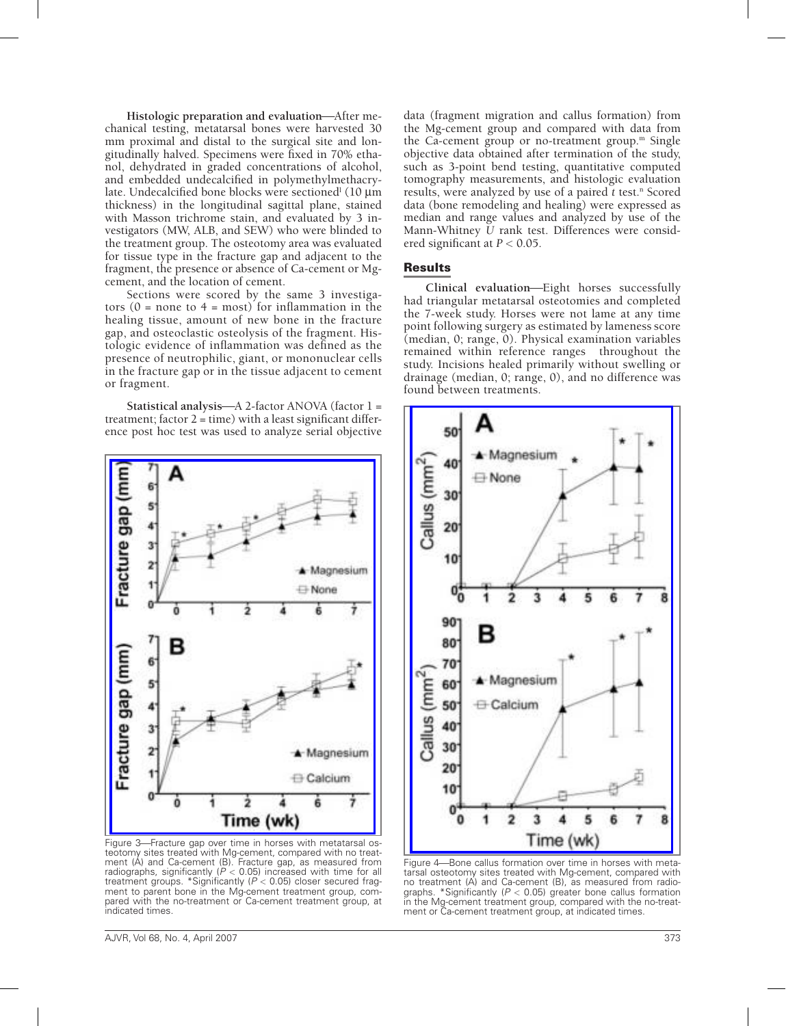Histologic preparation and evaluation-After mechanical testing, metatarsal bones were harvested 30 mm proximal and distal to the surgical site and longitudinally halved. Specimens were fixed in 70% ethanol, dehydrated in graded concentrations of alcohol, and embedded undecalcified in polymethylmethacrylate. Undecalcified bone blocks were sectioned<sup>l</sup> (10  $\mu$ m thickness) in the longitudinal sagittal plane, stained with Masson trichrome stain, and evaluated by 3 investigators (MW, ALB, and SEW) who were blinded to the treatment group. The osteotomy area was evaluated for tissue type in the fracture gap and adjacent to the fragment, the presence or absence of Ca-cement or Mgcement, and the location of cement.

Sections were scored by the same 3 investigators  $(0 =$  none to  $4 =$  most) for inflammation in the healing tissue, amount of new bone in the fracture gap, and osteoclastic osteolysis of the fragment. Histologic evidence of inflammation was defined as the presence of neutrophilic, giant, or mononuclear cells in the fracture gap or in the tissue adjacent to cement or fragment.

**Statistical analysis—A 2-factor ANOVA (factor 1 =** treatment; factor  $2 =$  time) with a least significant difference post hoc test was used to analyze serial objective



Figure 3-Fracture gap over time in horses with metatarsal osteotomy sites treated with Mg-cement, compared with no treatment (A) and Ca-cement (B). Fracture gap, as measured from radiographs, significantly (*P* < 0.05) increased with time for all treatment groups. \*Significantly (*P* < 0.05) closer secured fragment to parent bone in the Mg-cement treatment group, compared with the no-treatment or Ca-cement treatment group, at indicated times.

data (fragment migration and callus formation) from the Mg-cement group and compared with data from the Ca-cement group or no-treatment group.<sup>m</sup> Single objective data obtained after termination of the study, such as 3-point bend testing, quantitative computed tomography measurements, and histologic evaluation results, were analyzed by use of a paired t test.<sup>n</sup> Scored data (bone remodeling and healing) were expressed as median and range values and analyzed by use of the Mann-Whitney *U* rank test. Differences were considered significant at *P* < 0.05.

#### Results

Clinical evaluation-Eight horses successfully had triangular metatarsal osteotomies and completed the 7-week study. Horses were not lame at any time point following surgery as estimated by lameness score (median, 0; range, 0). Physical examination variables remained within reference ranges throughout the study. Incisions healed primarily without swelling or drainage (median, 0; range, 0), and no difference was found between treatments.



Figure 4—Bone callus formation over time in horses with meta-<br>tarsal osteotomy sites treated with Mg-cement, compared with no treatment (A) and Ca-cement (B), as measured from radio-graphs. \*Significantly (*P* < 0.05) greater bone callus formation in the Mg-cement treatment group, compared with the no-treatment or Ca-cement treatment group, at indicated times.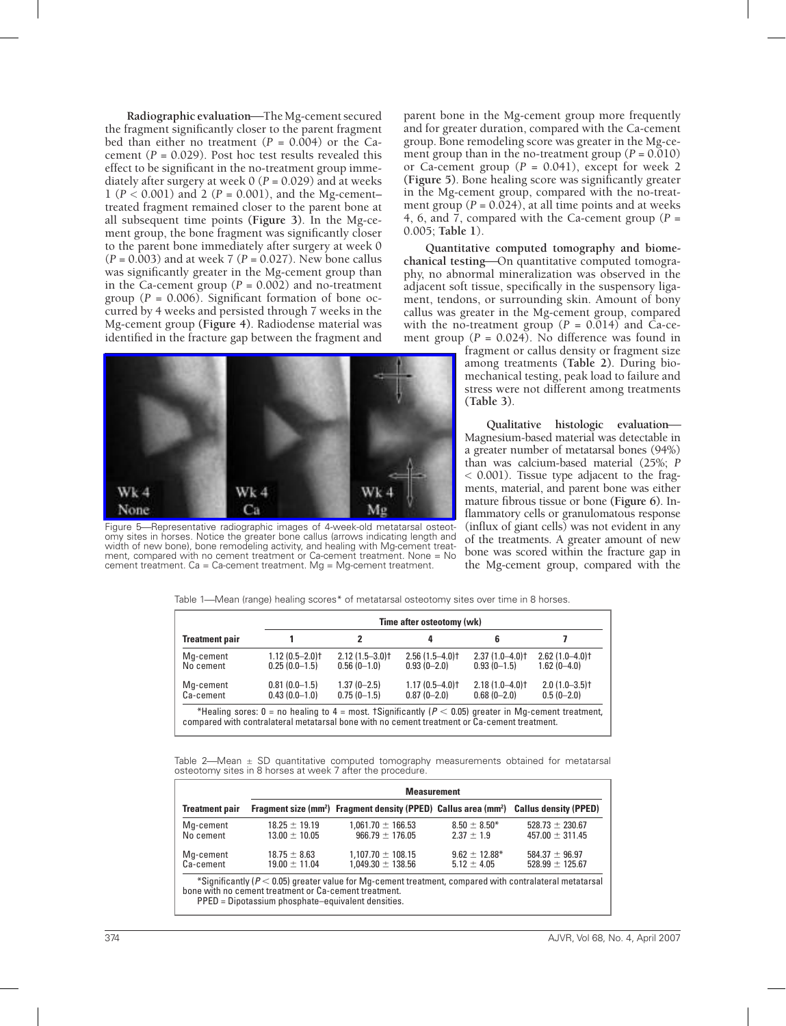Radiographic evaluation-The Mg-cement secured the fragment significantly closer to the parent fragment bed than either no treatment  $(P = 0.004)$  or the Cacement  $(P = 0.029)$ . Post hoc test results revealed this effect to be significant in the no-treatment group immediately after surgery at week 0 (*P* = 0.029) and at weeks 1 (*P* < 0.001) and 2 (*P* = 0.001), and the Mg-cement– treated fragment remained closer to the parent bone at all subsequent time points **(Figure 3)**. In the Mg-cement group, the bone fragment was significantly closer to the parent bone immediately after surgery at week 0 (*P* = 0.003) and at week 7 (*P* = 0.027). New bone callus was significantly greater in the Mg-cement group than in the Ca-cement group  $(P = 0.002)$  and no-treatment group  $(P = 0.006)$ . Significant formation of bone occurred by 4 weeks and persisted through 7 weeks in the Mg-cement group **(Figure 4)**. Radiodense material was identified in the fracture gap between the fragment and



Figure 5-Representative radiographic images of 4-week-old metatarsal osteotomy sites in horses. Notice the greater bone callus (arrows indicating length and width of new bone), bone remodeling activity, and healing with Mg-cement treatment, compared with no cement treatment or Ca-cement treatment. None = No cement treatment. Ca = Ca-cement treatment. Mg = Mg-cement treatment.

parent bone in the Mg-cement group more frequently and for greater duration, compared with the Ca-cement group. Bone remodeling score was greater in the Mg-cement group than in the no-treatment group  $(P = 0.010)$ or Ca-cement group  $(P = 0.041)$ , except for week 2 **(Figure 5)**. Bone healing score was significantly greater in the Mg-cement group, compared with the no-treatment group  $(P = 0.024)$ , at all time points and at weeks 4, 6, and  $\bar{7}$ , compared with the Ca-cement group ( $P =$ 0.005; **Table 1**).

**Quantitative computed tomography and biome**chanical testing—On quantitative computed tomography, no abnormal mineralization was observed in the adjacent soft tissue, specifically in the suspensory ligament, tendons, or surrounding skin. Amount of bony callus was greater in the Mg-cement group, compared with the no-treatment group  $(P = 0.014)$  and Ca-cement group  $(P = 0.024)$ . No difference was found in

> fragment or callus density or fragment size among treatments **(Table 2)**. During biomechanical testing, peak load to failure and stress were not different among treatments **(Table 3)**.

> **Qualitative histologic evaluation** Magnesium-based material was detectable in a greater number of metatarsal bones (94%) than was calcium-based material (25%; *P* < 0.001). Tissue type adjacent to the fragments, material, and parent bone was either mature fibrous tissue or bone **(Figure 6)**. Inflammatory cells or granulomatous response (influx of giant cells) was not evident in any of the treatments. A greater amount of new bone was scored within the fracture gap in the Mg-cement group, compared with the

Table 1—Mean (range) healing scores\* of metatarsal osteotomy sites over time in 8 horses.

|                                                                                                                                                                                                               | Time after osteotomy (wk)              |                                      |                                        |                                        |                                        |
|---------------------------------------------------------------------------------------------------------------------------------------------------------------------------------------------------------------|----------------------------------------|--------------------------------------|----------------------------------------|----------------------------------------|----------------------------------------|
| <b>Treatment pair</b>                                                                                                                                                                                         |                                        |                                      | 4                                      | 6                                      |                                        |
| Mq-cement<br>No cement                                                                                                                                                                                        | $1.12(0.5 - 2.0)$ t<br>$0.25(0.0-1.5)$ | $2.12(1.5 - 3.0)$ t<br>$0.56(0-1.0)$ | $2.56(1.5 - 4.0)$ t<br>$0.93(0 - 2.0)$ | $2.37(1.0 - 4.0)$ t<br>$0.93(0 - 1.5)$ | $2.62(1.0 - 4.0)$ t<br>$1.62(0 - 4.0)$ |
| Mq-cement<br>Ca-cement                                                                                                                                                                                        | $0.81(0.0-1.5)$<br>$0.43(0.0-1.0)$     | $1.37(0 - 2.5)$<br>$0.75(0-1.5)$     | $1.17(0.5 - 4.0)$ t<br>$0.87(0 - 2.0)$ | $2.18(1.0 - 4.0)$ t<br>$0.68(0 - 2.0)$ | $2.0(1.0 - 3.5)$ t<br>$0.5(0-2.0)$     |
| *Healing sores: $0 =$ no healing to $4 =$ most. TSignificantly ( $P < 0.05$ ) greater in Mg-cement treatment,<br>compared with contralateral metatarsal bone with no cement treatment or Ca-cement treatment. |                                        |                                      |                                        |                                        |                                        |

Table 2—Mean  $\pm$  SD quantitative computed tomography measurements obtained for metatarsal osteotomy sites in 8 horses at week 7 after the procedure.

|                                                                                                                                                                      | <b>Measurement</b>                     |                                                                                                               |                                      |                                            |
|----------------------------------------------------------------------------------------------------------------------------------------------------------------------|----------------------------------------|---------------------------------------------------------------------------------------------------------------|--------------------------------------|--------------------------------------------|
| <b>Treatment pair</b>                                                                                                                                                |                                        | Fragment size (mm <sup>2</sup> ) Fragment density (PPED) Callus area (mm <sup>2</sup> ) Callus density (PPED) |                                      |                                            |
| Mq-cement<br>No cement                                                                                                                                               | $18.25 \pm 19.19$<br>$13.00 \pm 10.05$ | $1.061.70 \pm 166.53$<br>$966.79 \pm 176.05$                                                                  | $8.50 \pm 8.50*$<br>$2.37 \pm 1.9$   | $528.73 \pm 230.67$<br>$457.00 \pm 311.45$ |
| Mq-cement<br>Ca-cement                                                                                                                                               | $18.75 \pm 8.63$<br>$19.00 \pm 11.04$  | $1.107.70 \pm 108.15$<br>$1.049.30 \pm 138.56$                                                                | $9.62 \pm 12.88*$<br>$5.12 \pm 4.05$ | $584.37 \pm 96.97$<br>$528.99 \pm 125.67$  |
| *Significantly ( $P < 0.05$ ) greater value for Mg-cement treatment, compared with contralateral metatarsal<br>bone with no cement treatment or Ca-cement treatment. |                                        |                                                                                                               |                                      |                                            |

PPED = Dipotassium phosphate–equivalent densities.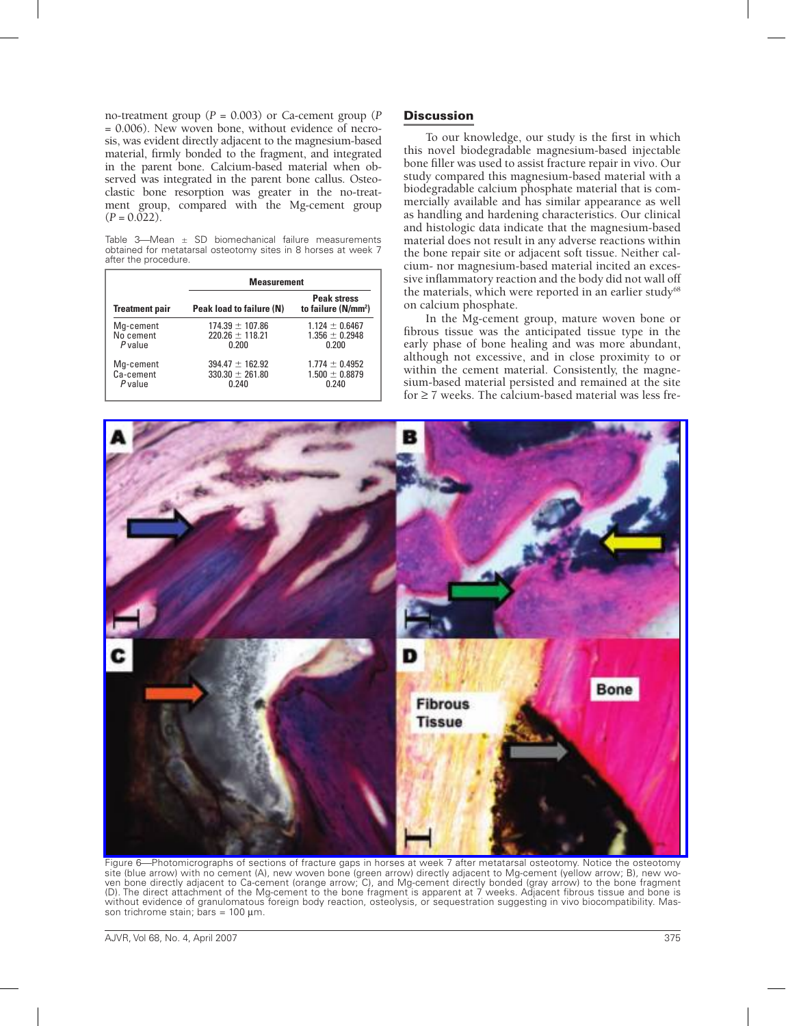no-treatment group (*P* = 0.003) or Ca-cement group (*P* = 0.006). New woven bone, without evidence of necrosis, was evident directly adjacent to the magnesium-based material, firmly bonded to the fragment, and integrated in the parent bone. Calcium-based material when observed was integrated in the parent bone callus. Osteoclastic bone resorption was greater in the no-treatment group, compared with the Mg-cement group  $(P = 0.022)$ .

Table 3—Mean  $\pm$  SD biomechanical failure measurements obtained for metatarsal osteotomy sites in 8 horses at week 7 after the procedure.

|                       | <b>Measurement</b>       |                                                       |  |  |
|-----------------------|--------------------------|-------------------------------------------------------|--|--|
| <b>Treatment pair</b> | Peak load to failure (N) | <b>Peak stress</b><br>to failure (N/mm <sup>2</sup> ) |  |  |
| Mg-cement             | $174.39 \pm 107.86$      | $1.124 \pm 0.6467$                                    |  |  |
| No cement             | $220.26 \pm 118.21$      | $1.356 \pm 0.2948$                                    |  |  |
| <i>P</i> value        | 0.200                    | 0.200                                                 |  |  |
| Mq-cement             | $394.47 \pm 162.92$      | $1.774 \pm 0.4952$                                    |  |  |
| Ca-cement             | $330.30 \pm 261.80$      | $1.500 \pm 0.8879$                                    |  |  |
| Pvalue                | 0.240                    | 0.240                                                 |  |  |

### **Discussion**

To our knowledge, our study is the first in which this novel biodegradable magnesium-based injectable bone filler was used to assist fracture repair in vivo. Our study compared this magnesium-based material with a biodegradable calcium phosphate material that is commercially available and has similar appearance as well as handling and hardening characteristics. Our clinical and histologic data indicate that the magnesium-based material does not result in any adverse reactions within the bone repair site or adjacent soft tissue. Neither calcium- nor magnesium-based material incited an excessive inflammatory reaction and the body did not wall off the materials, which were reported in an earlier study<sup>68</sup> on calcium phosphate.

In the Mg-cement group, mature woven bone or fibrous tissue was the anticipated tissue type in the early phase of bone healing and was more abundant, although not excessive, and in close proximity to or within the cement material. Consistently, the magnesium-based material persisted and remained at the site for ≥ 7 weeks. The calcium-based material was less fre-



Figure 6-Photomicrographs of sections of fracture gaps in horses at week 7 after metatarsal osteotomy. Notice the osteotomy site (blue arrow) with no cement (A), new woven bone (green arrow) directly adjacent to Mg-cement (yellow arrow; B), new woven bone directly adjacent to Ca-cement (orange arrow; C), and Mg-cement directly bonded (gray arrow) to the bone fragment (D). The direct attachment of the Mg-cement to the bone fragment is apparent at 7 weeks. Adjacent fibrous tissue and bone is without evidence of granulomatous foreign body reaction, osteolysis, or sequestration suggesting in vivo biocompatibility. Masson trichrome stain; bars =  $100 \mu m$ .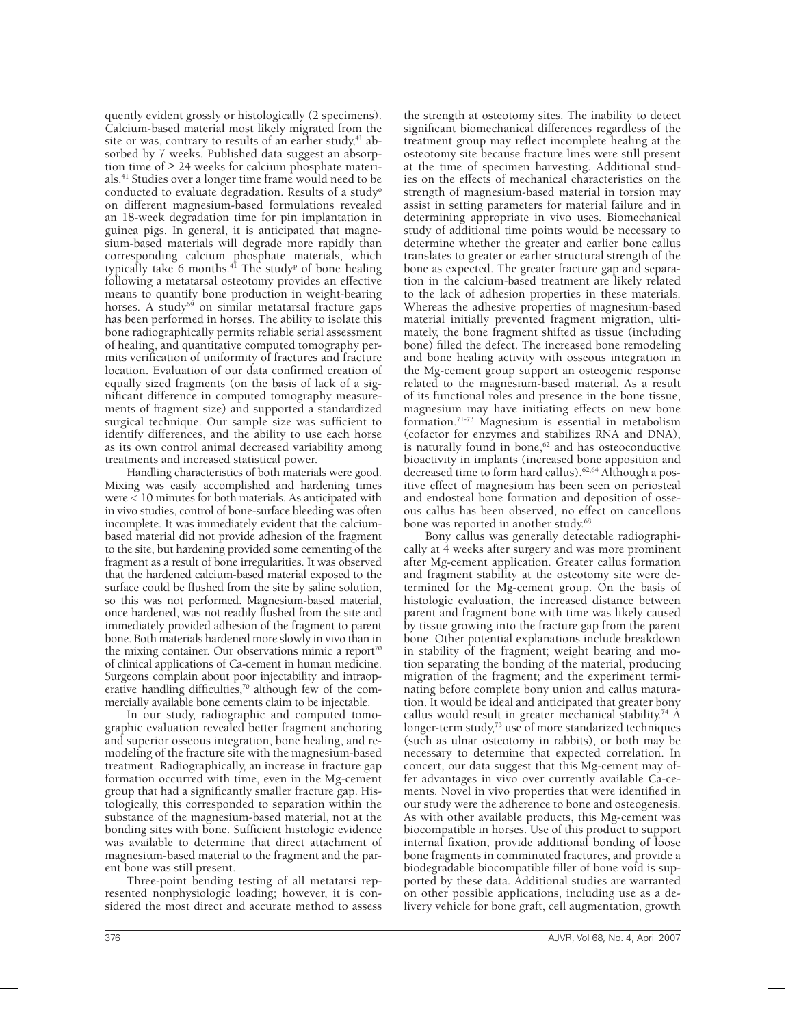quently evident grossly or histologically (2 specimens). Calcium-based material most likely migrated from the site or was, contrary to results of an earlier study, $41$  absorbed by 7 weeks. Published data suggest an absorption time of  $\geq$  24 weeks for calcium phosphate materials.41 Studies over a longer time frame would need to be conducted to evaluate degradation. Results of a study<sup>o</sup> on different magnesium-based formulations revealed an 18-week degradation time for pin implantation in guinea pigs. In general, it is anticipated that magnesium-based materials will degrade more rapidly than corresponding calcium phosphate materials, which typically take 6 months. $41$  The study<sup>p</sup> of bone healing following a metatarsal osteotomy provides an effective means to quantify bone production in weight-bearing horses. A study<sup> $69$ </sup> on similar metatarsal fracture gaps has been performed in horses. The ability to isolate this bone radiographically permits reliable serial assessment of healing, and quantitative computed tomography permits verification of uniformity of fractures and fracture location. Evaluation of our data confirmed creation of equally sized fragments (on the basis of lack of a significant difference in computed tomography measurements of fragment size) and supported a standardized surgical technique. Our sample size was sufficient to identify differences, and the ability to use each horse as its own control animal decreased variability among treatments and increased statistical power.

Handling characteristics of both materials were good. Mixing was easily accomplished and hardening times were < 10 minutes for both materials. As anticipated with in vivo studies, control of bone-surface bleeding was often incomplete. It was immediately evident that the calciumbased material did not provide adhesion of the fragment to the site, but hardening provided some cementing of the fragment as a result of bone irregularities. It was observed that the hardened calcium-based material exposed to the surface could be flushed from the site by saline solution, so this was not performed. Magnesium-based material, once hardened, was not readily flushed from the site and immediately provided adhesion of the fragment to parent bone. Both materials hardened more slowly in vivo than in the mixing container. Our observations mimic a report<sup>70</sup> of clinical applications of Ca-cement in human medicine. Surgeons complain about poor injectability and intraoperative handling difficulties,<sup>70</sup> although few of the commercially available bone cements claim to be injectable.

In our study, radiographic and computed tomographic evaluation revealed better fragment anchoring and superior osseous integration, bone healing, and remodeling of the fracture site with the magnesium-based treatment. Radiographically, an increase in fracture gap formation occurred with time, even in the Mg-cement group that had a significantly smaller fracture gap. Histologically, this corresponded to separation within the substance of the magnesium-based material, not at the bonding sites with bone. Sufficient histologic evidence was available to determine that direct attachment of magnesium-based material to the fragment and the parent bone was still present.

Three-point bending testing of all metatarsi represented nonphysiologic loading; however, it is considered the most direct and accurate method to assess the strength at osteotomy sites. The inability to detect significant biomechanical differences regardless of the treatment group may reflect incomplete healing at the osteotomy site because fracture lines were still present at the time of specimen harvesting. Additional studies on the effects of mechanical characteristics on the strength of magnesium-based material in torsion may assist in setting parameters for material failure and in determining appropriate in vivo uses. Biomechanical study of additional time points would be necessary to determine whether the greater and earlier bone callus translates to greater or earlier structural strength of the bone as expected. The greater fracture gap and separation in the calcium-based treatment are likely related to the lack of adhesion properties in these materials. Whereas the adhesive properties of magnesium-based material initially prevented fragment migration, ultimately, the bone fragment shifted as tissue (including bone) filled the defect. The increased bone remodeling and bone healing activity with osseous integration in the Mg-cement group support an osteogenic response related to the magnesium-based material. As a result of its functional roles and presence in the bone tissue, magnesium may have initiating effects on new bone formation.71-73 Magnesium is essential in metabolism (cofactor for enzymes and stabilizes RNA and DNA), is naturally found in bone, $62$  and has osteoconductive bioactivity in implants (increased bone apposition and decreased time to form hard callus).<sup>62,64</sup> Although a positive effect of magnesium has been seen on periosteal and endosteal bone formation and deposition of osseous callus has been observed, no effect on cancellous bone was reported in another study.<sup>68</sup>

Bony callus was generally detectable radiographically at 4 weeks after surgery and was more prominent after Mg-cement application. Greater callus formation and fragment stability at the osteotomy site were determined for the Mg-cement group. On the basis of histologic evaluation, the increased distance between parent and fragment bone with time was likely caused by tissue growing into the fracture gap from the parent bone. Other potential explanations include breakdown in stability of the fragment; weight bearing and motion separating the bonding of the material, producing migration of the fragment; and the experiment terminating before complete bony union and callus maturation. It would be ideal and anticipated that greater bony callus would result in greater mechanical stability.74 A longer-term study,<sup>75</sup> use of more standarized techniques (such as ulnar osteotomy in rabbits), or both may be necessary to determine that expected correlation. In concert, our data suggest that this Mg-cement may offer advantages in vivo over currently available Ca-cements. Novel in vivo properties that were identified in our study were the adherence to bone and osteogenesis. As with other available products, this Mg-cement was biocompatible in horses. Use of this product to support internal fixation, provide additional bonding of loose bone fragments in comminuted fractures, and provide a biodegradable biocompatible filler of bone void is supported by these data. Additional studies are warranted on other possible applications, including use as a delivery vehicle for bone graft, cell augmentation, growth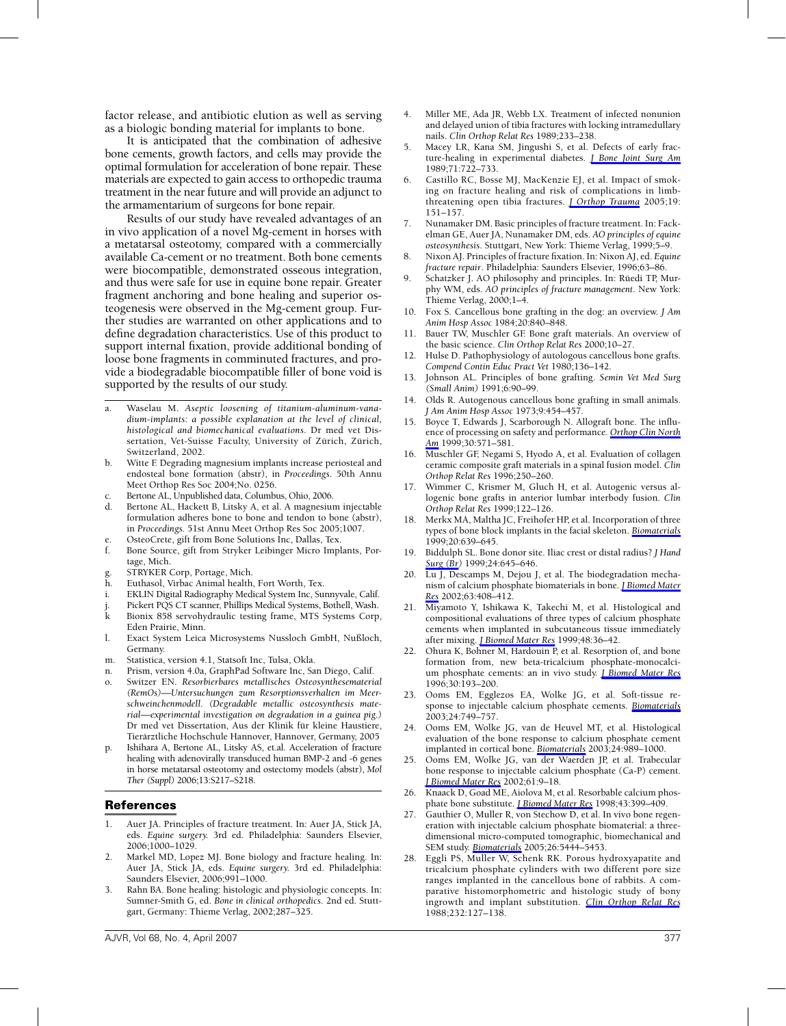factor release, and antibiotic elution as well as serving as a biologic bonding material for implants to bone.

It is anticipated that the combination of adhesive bone cements, growth factors, and cells may provide the optimal formulation for acceleration of bone repair. These materials are expected to gain access to orthopedic trauma treatment in the near future and will provide an adjunct to the armamentarium of surgeons for bone repair.

Results of our study have revealed advantages of an in vivo application of a novel Mg-cement in horses with a metatarsal osteotomy, compared with a commercially available Ca-cement or no treatment. Both bone cements were biocompatible, demonstrated osseous integration, and thus were safe for use in equine bone repair. Greater fragment anchoring and bone healing and superior osteogenesis were observed in the Mg-cement group. Further studies are warranted on other applications and to define degradation characteristics. Use of this product to support internal fixation, provide additional bonding of loose bone fragments in comminuted fractures, and provide a biodegradable biocompatible filler of bone void is supported by the results of our study.

- a. Waselau M. *Aseptic loosening of titanium-aluminum-vanadium-implants: a possible explanation at the level of clinical, histological and biomechanical evaluations.* Dr med vet Dissertation, Vet-Suisse Faculty, University of Zürich, Zürich, Switzerland, 2002.
- b. Witte F. Degrading magnesium implants increase periosteal and endosteal bone formation (abstr), in *Proceedings*. 50th Annu Meet Orthop Res Soc 2004;No. 0256.
- c. Bertone AL, Unpublished data, Columbus, Ohio, 2006.
- d. Bertone AL, Hackett B, Litsky A, et al. A magnesium injectable formulation adheres bone to bone and tendon to bone (abstr), in *Proceedings.* 51st Annu Meet Orthop Res Soc 2005;1007.
- e. OsteoCrete, gift from Bone Solutions Inc, Dallas, Tex.
- f. Bone Source, gift from Stryker Leibinger Micro Implants, Portage, Mich.
- g. STRYKER Corp, Portage, Mich.
- Euthasol, Virbac Animal health, Fort Worth, Tex.
- i. EKLIN Digital Radiography Medical System Inc, Sunnyvale, Calif.
- Pickert POS CT scanner, Phillips Medical Systems, Bothell, Wash. k Bionix 858 servohydraulic testing frame, MTS Systems Corp,
- Eden Prairie, Minn. l. Exact System Leica Microsystems Nussloch GmbH, Nußloch,
- Germany.
- m. Statistica, version 4.1, Statsoft Inc, Tulsa, Okla.
- n. Prism, version 4.0a, GraphPad Software Inc, San Diego, Calif.
- o. Switzer EN. *Resorbierbares metallisches Osteosynthesematerial (RemOs)—Untersuchungen zum Resorptionsverhalten im Meerschweinchenmodell. (Degradable metallic osteosynthesis material—experimental investigation on degradation in a guinea pig.)*  Dr med vet Dissertation, Aus der Klinik für kleine Haustiere, Tierärztliche Hochschule Hannover, Hannover, Germany, 2005
- p. Ishihara A, Bertone AL, Litsky AS, et.al. Acceleration of fracture healing with adenovirally transduced human BMP-2 and -6 genes in horse metatarsal osteotomy and ostectomy models (abstr), *Mol Ther (Suppl)* 2006;13:S217–S218.

#### References

- 1. Auer JA. Principles of fracture treatment. In: Auer JA, Stick JA, eds. *Equine surgery.* 3rd ed. Philadelphia: Saunders Elsevier, 2006;1000–1029.
- 2. Markel MD, Lopez MJ. Bone biology and fracture healing. In: Auer JA, Stick JA, eds. *Equine surgery.* 3rd ed. Philadelphia: Saunders Elsevier, 2006;991–1000.
- 3. Rahn BA. Bone healing: histologic and physiologic concepts. In: Sumner-Smith G, ed. *Bone in clinical orthopedics*. 2nd ed. Stuttgart, Germany: Thieme Verlag, 2002;287–325.
- 4. Miller ME, Ada JR, Webb LX. Treatment of infected nonunion and delayed union of tibia fractures with locking intramedullary nails. *Clin Orthop Relat Res* 1989;233–238.
- 5. Macey LR, Kana SM, Jingushi S, et al. Defects of early fracture-healing in experimental diabetes. *J Bone Joint Surg Am* 1989;71:722–733.
- 6. Castillo RC, Bosse MJ, MacKenzie EJ, et al. Impact of smoking on fracture healing and risk of complications in limbthreatening open tibia fractures. *J Orthop Trauma* 2005;19: 151–157.
- 7. Nunamaker DM. Basic principles of fracture treatment. In: Fackelman GE, Auer JA, Nunamaker DM, eds. *AO principles of equine osteosynthesis*. Stuttgart, New York: Thieme Verlag, 1999;5–9.
- 8. Nixon AJ. Principles of fracture fixation. In: Nixon AJ, ed. *Equine fracture repair*. Philadelphia: Saunders Elsevier, 1996;63–86.
- 9. Schatzker J. AO philosophy and principles. In: Rüedi TP, Murphy WM, eds. *AO principles of fracture management*. New York: Thieme Verlag,  $2000:1-\hat{4}$ .
- 10. Fox S. Cancellous bone grafting in the dog: an overview. *J Am Anim Hosp Assoc* 1984;20:840–848.
- Bauer TW, Muschler GF. Bone graft materials. An overview of the basic science. *Clin Orthop Relat Res* 2000;10–27.
- 12. Hulse D. Pathophysiology of autologous cancellous bone grafts. *Compend Contin Educ Pract Vet* 1980;136–142.
- 13. Johnson AL. Principles of bone grafting. *Semin Vet Med Surg (Small Anim)* 1991;6:90–99.
- 14. Olds R. Autogenous cancellous bone grafting in small animals. *J Am Anim Hosp Assoc* 1973;9:454–457.
- 15. Boyce T, Edwards J, Scarborough N. Allograft bone. The influence of processing on safety and performance*. Orthop Clin North Am* 1999;30:571–581.
- 16. Muschler GF, Negami S, Hyodo A, et al. Evaluation of collagen ceramic composite graft materials in a spinal fusion model. *Clin Orthop Relat Res* 1996;250–260.
- 17. Wimmer C, Krismer M, Gluch H, et al. Autogenic versus allogenic bone grafts in anterior lumbar interbody fusion. *Clin Orthop Relat Res* 1999;122–126.
- 18. Merkx MA, Maltha JC, Freihofer HP, et al. Incorporation of three types of bone block implants in the facial skeleton. *Biomaterials* 1999;20:639–645.
- 19. Biddulph SL. Bone donor site. Iliac crest or distal radius? *J Hand Surg (Br)* 1999;24:645–646.
- 20. Lu J, Descamps M, Dejou J, et al. The biodegradation mechanism of calcium phosphate biomaterials in bone. *J Biomed Mater Res* 2002;63:408–412.
- 21. Miyamoto Y, Ishikawa K, Takechi M, et al. Histological and compositional evaluations of three types of calcium phosphate cements when implanted in subcutaneous tissue immediately after mixing. *J Biomed Mater Res* 1999;48:36–42.
- 22. Ohura K, Bohner M, Hardouin P, et al. Resorption of, and bone formation from, new beta-tricalcium phosphate-monocalcium phosphate cements: an in vivo study. *J Biomed Mater Res*  1996;30:193–200.
- 23. Ooms EM, Egglezos EA, Wolke JG, et al. Soft-tissue response to injectable calcium phosphate cements. *Biomaterials* 2003;24:749–757.
- 24. Ooms EM, Wolke JG, van de Heuvel MT, et al. Histological evaluation of the bone response to calcium phosphate cement implanted in cortical bone. *Biomaterials* 2003;24:989–1000.
- 25. Ooms EM, Wolke JG, van der Waerden JP, et al. Trabecular bone response to injectable calcium phosphate (Ca-P) cement. *J Biomed Mater Res* 2002;61:9–18.
- 26. Knaack D, Goad ME, Aiolova M, et al. Resorbable calcium phosphate bone substitute. *J Biomed Mater Res* 1998;43:399–409.
- Gauthier O, Muller R, von Stechow D, et al. In vivo bone regeneration with injectable calcium phosphate biomaterial: a threedimensional micro-computed tomographic, biomechanical and SEM study. *Biomaterials* 2005;26:5444–5453.
- 28. Eggli PS, Muller W, Schenk RK. Porous hydroxyapatite and tricalcium phosphate cylinders with two different pore size ranges implanted in the cancellous bone of rabbits. A comparative histomorphometric and histologic study of bony ingrowth and implant substitution. *Clin Orthop Relat Res* 1988;232:127–138.